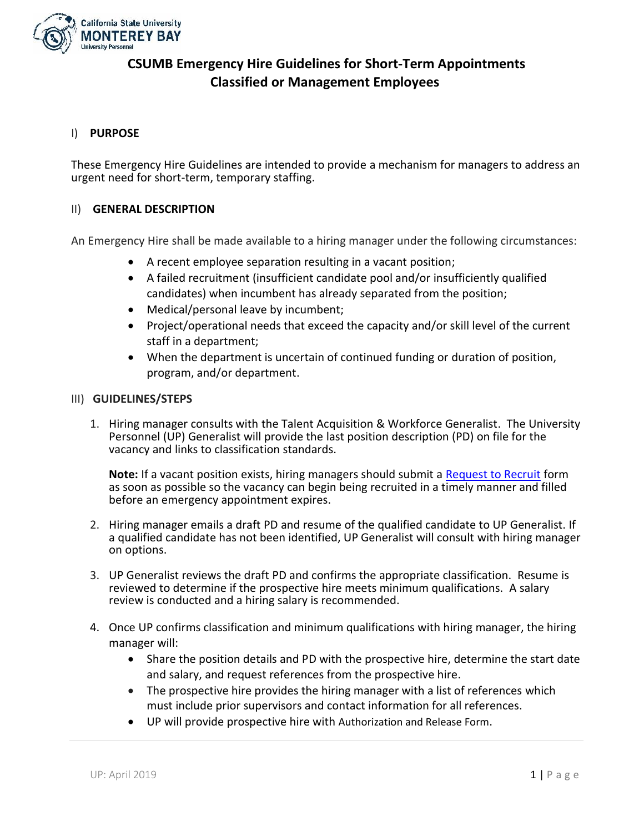

# **CSUMB Emergency Hire Guidelines for Short-Term Appointments Classified or Management Employees**

## I) **PURPOSE**

These Emergency Hire Guidelines are intended to provide a mechanism for managers to address an urgent need for short-term, temporary staffing.

### II) **GENERAL DESCRIPTION**

An Emergency Hire shall be made available to a hiring manager under the following circumstances:

- A recent employee separation resulting in a vacant position;
- A failed recruitment (insufficient candidate pool and/or insufficiently qualified candidates) when incumbent has already separated from the position;
- Medical/personal leave by incumbent;
- Project/operational needs that exceed the capacity and/or skill level of the current staff in a department;
- When the department is uncertain of continued funding or duration of position, program, and/or department.

#### III) **GUIDELINES/STEPS**

1. Hiring manager consults with the Talent Acquisition & Workforce Generalist. The University Personnel (UP) Generalist will provide the last position description (PD) on file for the vacancy and links to classification standards.

**Note:** If a vacant position exists, hiring managers should submit a [Request to Recruit](https://dl.airtable.com/iFjhfJNeSj2TyhSPFc2U_Request%20to%20Recruit%20Form%202018-10-5.pdf) form as soon as possible so the vacancy can begin being recruited in a timely manner and filled before an emergency appointment expires.

- 2. Hiring manager emails a draft PD and resume of the qualified candidate to UP Generalist. If a qualified candidate has not been identified, UP Generalist will consult with hiring manager on options.
- 3. UP Generalist reviews the draft PD and confirms the appropriate classification. Resume is reviewed to determine if the prospective hire meets minimum qualifications. A salary review is conducted and a hiring salary is recommended.
- 4. Once UP confirms classification and minimum qualifications with hiring manager, the hiring manager will:
	- Share the position details and PD with the prospective hire, determine the start date and salary, and request references from the prospective hire.
	- The prospective hire provides the hiring manager with a list of references which must include prior supervisors and contact information for all references.
	- UP will provide prospective hire with Authorization and Release Form.